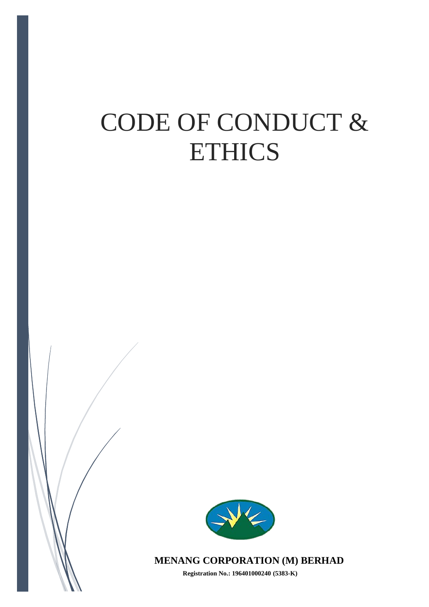# CODE OF CONDUCT & ETHICS



**MENANG CORPORATION (M) BERHAD**

**Registration No.: 196401000240 (5383-K)**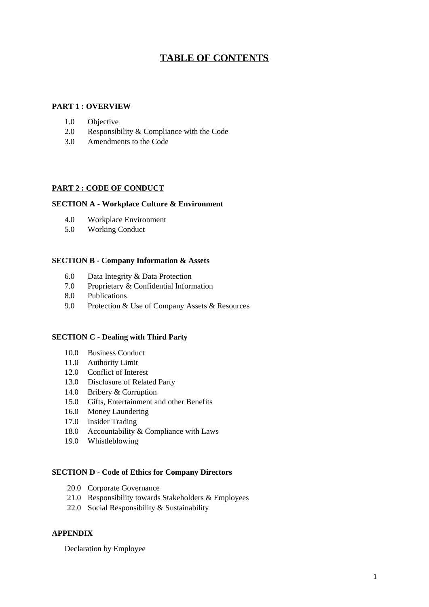# **TABLE OF CONTENTS**

#### **PART 1 : OVERVIEW**

- 1.0 Objective
- 2.0 Responsibility & Compliance with the Code
- 3.0 Amendments to the Code

#### **PART 2 : CODE OF CONDUCT**

#### **SECTION A - Workplace Culture & Environment**

- 4.0 Workplace Environment
- 5.0 Working Conduct

#### **SECTION B - Company Information & Assets**

- 6.0 Data Integrity & Data Protection
- 7.0 Proprietary & Confidential Information
- 8.0 Publications
- 9.0 Protection & Use of Company Assets & Resources

#### **SECTION C - Dealing with Third Party**

- 10.0 Business Conduct
- 11.0 Authority Limit
- 12.0 Conflict of Interest
- 13.0 Disclosure of Related Party
- 14.0 Bribery & Corruption
- 15.0 Gifts, Entertainment and other Benefits
- 16.0 Money Laundering
- 17.0 Insider Trading
- 18.0 Accountability & Compliance with Laws
- 19.0 Whistleblowing

#### **SECTION D - Code of Ethics for Company Directors**

- 20.0 Corporate Governance
- 21.0 Responsibility towards Stakeholders & Employees
- 22.0 Social Responsibility & Sustainability

#### **APPENDIX**

Declaration by Employee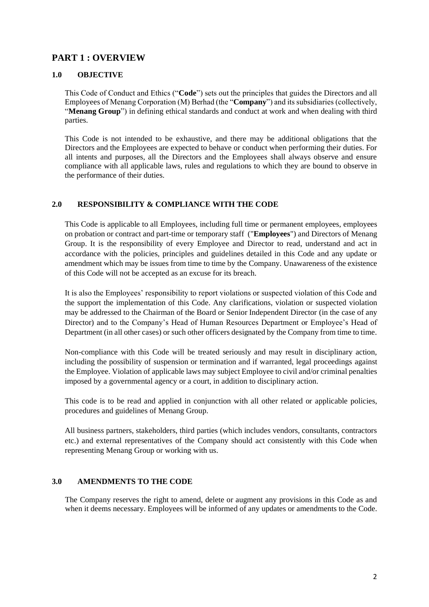# **PART 1 : OVERVIEW**

#### **1.0 OBJECTIVE**

This Code of Conduct and Ethics ("**Code**") sets out the principles that guides the Directors and all Employees of Menang Corporation (M) Berhad (the "**Company**") and its subsidiaries (collectively, "**Menang Group**") in defining ethical standards and conduct at work and when dealing with third parties.

This Code is not intended to be exhaustive, and there may be additional obligations that the Directors and the Employees are expected to behave or conduct when performing their duties. For all intents and purposes, all the Directors and the Employees shall always observe and ensure compliance with all applicable laws, rules and regulations to which they are bound to observe in the performance of their duties.

#### **2.0 RESPONSIBILITY & COMPLIANCE WITH THE CODE**

This Code is applicable to all Employees, including full time or permanent employees, employees on probation or contract and part-time or temporary staff ("**Employees**") and Directors of Menang Group. It is the responsibility of every Employee and Director to read, understand and act in accordance with the policies, principles and guidelines detailed in this Code and any update or amendment which may be issues from time to time by the Company. Unawareness of the existence of this Code will not be accepted as an excuse for its breach.

It is also the Employees' responsibility to report violations or suspected violation of this Code and the support the implementation of this Code. Any clarifications, violation or suspected violation may be addressed to the Chairman of the Board or Senior Independent Director (in the case of any Director) and to the Company's Head of Human Resources Department or Employee's Head of Department (in all other cases) or such other officers designated by the Company from time to time.

Non-compliance with this Code will be treated seriously and may result in disciplinary action, including the possibility of suspension or termination and if warranted, legal proceedings against the Employee. Violation of applicable laws may subject Employee to civil and/or criminal penalties imposed by a governmental agency or a court, in addition to disciplinary action.

This code is to be read and applied in conjunction with all other related or applicable policies, procedures and guidelines of Menang Group.

All business partners, stakeholders, third parties (which includes vendors, consultants, contractors etc.) and external representatives of the Company should act consistently with this Code when representing Menang Group or working with us.

#### **3.0 AMENDMENTS TO THE CODE**

The Company reserves the right to amend, delete or augment any provisions in this Code as and when it deems necessary. Employees will be informed of any updates or amendments to the Code.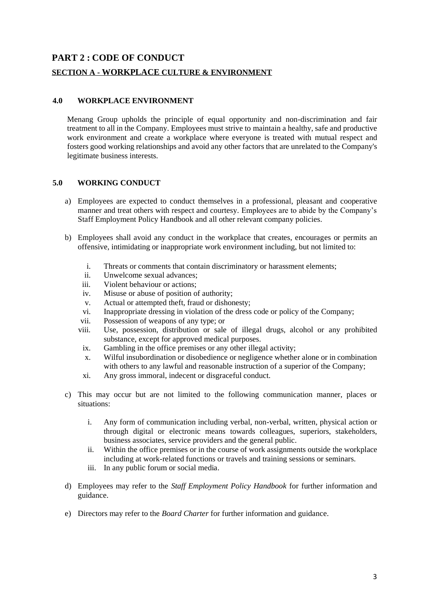# **PART 2 : CODE OF CONDUCT**

#### **SECTION A - WORKPLACE CULTURE & ENVIRONMENT**

#### **4.0 WORKPLACE ENVIRONMENT**

Menang Group upholds the principle of equal opportunity and non-discrimination and fair treatment to all in the Company. Employees must strive to maintain a healthy, safe and productive work environment and create a workplace where everyone is treated with mutual respect and fosters good working relationships and avoid any other factors that are unrelated to the Company's legitimate business interests.

#### **5.0 WORKING CONDUCT**

- a) Employees are expected to conduct themselves in a professional, pleasant and cooperative manner and treat others with respect and courtesy. Employees are to abide by the Company's Staff Employment Policy Handbook and all other relevant company policies.
- b) Employees shall avoid any conduct in the workplace that creates, encourages or permits an offensive, intimidating or inappropriate work environment including, but not limited to:
	- i. Threats or comments that contain discriminatory or harassment elements;
	- ii. Unwelcome sexual advances;
	- iii. Violent behaviour or actions;
	- iv. Misuse or abuse of position of authority;
	- v. Actual or attempted theft, fraud or dishonesty;
	- vi. Inappropriate dressing in violation of the dress code or policy of the Company;
	- vii. Possession of weapons of any type; or
	- viii. Use, possession, distribution or sale of illegal drugs, alcohol or any prohibited substance, except for approved medical purposes.
	- ix. Gambling in the office premises or any other illegal activity;
	- x. Wilful insubordination or disobedience or negligence whether alone or in combination with others to any lawful and reasonable instruction of a superior of the Company;
	- xi. Any gross immoral, indecent or disgraceful conduct.
- c) This may occur but are not limited to the following communication manner, places or situations:
	- i. Any form of communication including verbal, non-verbal, written, physical action or through digital or electronic means towards colleagues, superiors, stakeholders, business associates, service providers and the general public.
	- ii. Within the office premises or in the course of work assignments outside the workplace including at work-related functions or travels and training sessions or seminars.
	- iii. In any public forum or social media.
- d) Employees may refer to the *Staff Employment Policy Handbook* for further information and guidance.
- e) Directors may refer to the *Board Charter* for further information and guidance.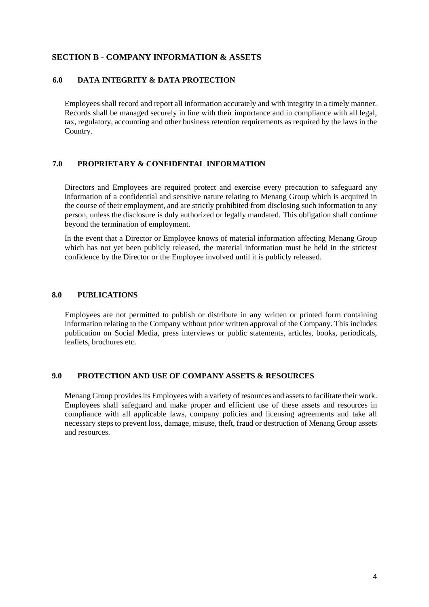# **SECTION B - COMPANY INFORMATION & ASSETS**

#### **6.0 DATA INTEGRITY & DATA PROTECTION**

Employees shall record and report all information accurately and with integrity in a timely manner. Records shall be managed securely in line with their importance and in compliance with all legal, tax, regulatory, accounting and other business retention requirements as required by the laws in the Country.

# **7.0 PROPRIETARY & CONFIDENTAL INFORMATION**

Directors and Employees are required protect and exercise every precaution to safeguard any information of a confidential and sensitive nature relating to Menang Group which is acquired in the course of their employment, and are strictly prohibited from disclosing such information to any person, unless the disclosure is duly authorized or legally mandated. This obligation shall continue beyond the termination of employment.

In the event that a Director or Employee knows of material information affecting Menang Group which has not yet been publicly released, the material information must be held in the strictest confidence by the Director or the Employee involved until it is publicly released.

#### **8.0 PUBLICATIONS**

Employees are not permitted to publish or distribute in any written or printed form containing information relating to the Company without prior written approval of the Company. This includes publication on Social Media, press interviews or public statements, articles, books, periodicals, leaflets, brochures etc.

#### **9.0 PROTECTION AND USE OF COMPANY ASSETS & RESOURCES**

Menang Group provides its Employees with a variety of resources and assets to facilitate their work. Employees shall safeguard and make proper and efficient use of these assets and resources in compliance with all applicable laws, company policies and licensing agreements and take all necessary steps to prevent loss, damage, misuse, theft, fraud or destruction of Menang Group assets and resources.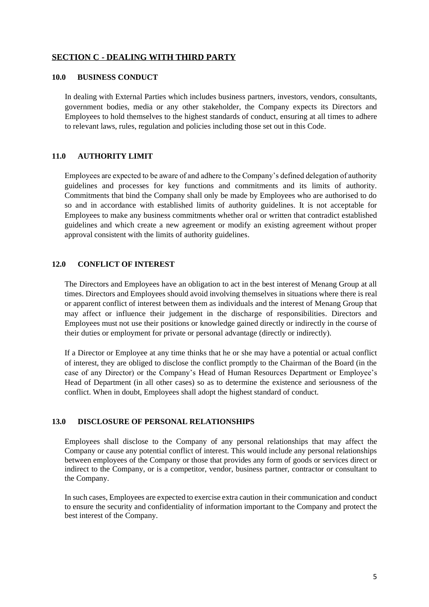# **SECTION C - DEALING WITH THIRD PARTY**

#### **10.0 BUSINESS CONDUCT**

In dealing with External Parties which includes business partners, investors, vendors, consultants, government bodies, media or any other stakeholder, the Company expects its Directors and Employees to hold themselves to the highest standards of conduct, ensuring at all times to adhere to relevant laws, rules, regulation and policies including those set out in this Code.

#### **11.0 AUTHORITY LIMIT**

Employees are expected to be aware of and adhere to the Company's defined delegation of authority guidelines and processes for key functions and commitments and its limits of authority. Commitments that bind the Company shall only be made by Employees who are authorised to do so and in accordance with established limits of authority guidelines. It is not acceptable for Employees to make any business commitments whether oral or written that contradict established guidelines and which create a new agreement or modify an existing agreement without proper approval consistent with the limits of authority guidelines.

#### **12.0 CONFLICT OF INTEREST**

The Directors and Employees have an obligation to act in the best interest of Menang Group at all times. Directors and Employees should avoid involving themselves in situations where there is real or apparent conflict of interest between them as individuals and the interest of Menang Group that may affect or influence their judgement in the discharge of responsibilities. Directors and Employees must not use their positions or knowledge gained directly or indirectly in the course of their duties or employment for private or personal advantage (directly or indirectly).

If a Director or Employee at any time thinks that he or she may have a potential or actual conflict of interest, they are obliged to disclose the conflict promptly to the Chairman of the Board (in the case of any Director) or the Company's Head of Human Resources Department or Employee's Head of Department (in all other cases) so as to determine the existence and seriousness of the conflict. When in doubt, Employees shall adopt the highest standard of conduct.

#### **13.0 DISCLOSURE OF PERSONAL RELATIONSHIPS**

Employees shall disclose to the Company of any personal relationships that may affect the Company or cause any potential conflict of interest. This would include any personal relationships between employees of the Company or those that provides any form of goods or services direct or indirect to the Company, or is a competitor, vendor, business partner, contractor or consultant to the Company.

In such cases, Employees are expected to exercise extra caution in their communication and conduct to ensure the security and confidentiality of information important to the Company and protect the best interest of the Company.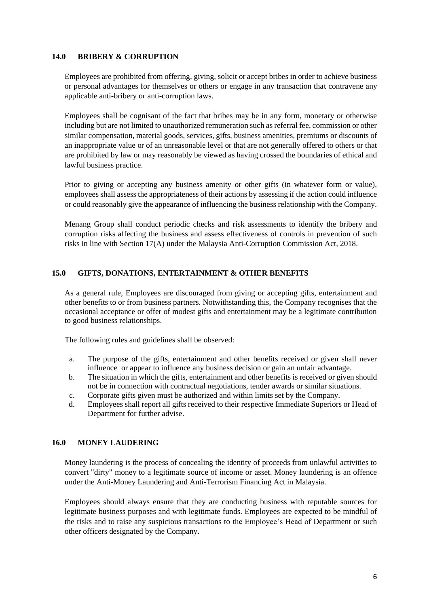#### **14.0 BRIBERY & CORRUPTION**

Employees are prohibited from offering, giving, solicit or accept bribes in order to achieve business or personal advantages for themselves or others or engage in any transaction that contravene any applicable anti-bribery or anti-corruption laws.

Employees shall be cognisant of the fact that bribes may be in any form, monetary or otherwise including but are not limited to unauthorized remuneration such as referral fee, commission or other similar compensation, material goods, services, gifts, business amenities, premiums or discounts of an inappropriate value or of an unreasonable level or that are not generally offered to others or that are prohibited by law or may reasonably be viewed as having crossed the boundaries of ethical and lawful business practice.

Prior to giving or accepting any business amenity or other gifts (in whatever form or value), employees shall assess the appropriateness of their actions by assessing if the action could influence or could reasonably give the appearance of influencing the business relationship with the Company.

Menang Group shall conduct periodic checks and risk assessments to identify the bribery and corruption risks affecting the business and assess effectiveness of controls in prevention of such risks in line with Section 17(A) under the Malaysia Anti-Corruption Commission Act, 2018.

#### **15.0 GIFTS, DONATIONS, ENTERTAINMENT & OTHER BENEFITS**

As a general rule, Employees are discouraged from giving or accepting gifts, entertainment and other benefits to or from business partners. Notwithstanding this, the Company recognises that the occasional acceptance or offer of modest gifts and entertainment may be a legitimate contribution to good business relationships.

The following rules and guidelines shall be observed:

- a. The purpose of the gifts, entertainment and other benefits received or given shall never influence or appear to influence any business decision or gain an unfair advantage.
- b. The situation in which the gifts, entertainment and other benefits is received or given should not be in connection with contractual negotiations, tender awards or similar situations.
- c. Corporate gifts given must be authorized and within limits set by the Company.
- d. Employees shall report all gifts received to their respective Immediate Superiors or Head of Department for further advise.

#### **16.0 MONEY LAUDERING**

Money laundering is the process of concealing the identity of proceeds from unlawful activities to convert "dirty" money to a legitimate source of income or asset. Money laundering is an offence under the Anti-Money Laundering and Anti-Terrorism Financing Act in Malaysia.

Employees should always ensure that they are conducting business with reputable sources for legitimate business purposes and with legitimate funds. Employees are expected to be mindful of the risks and to raise any suspicious transactions to the Employee's Head of Department or such other officers designated by the Company.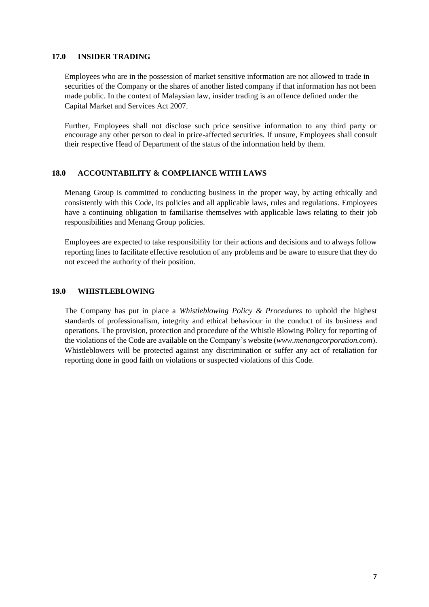#### **17.0 INSIDER TRADING**

Employees who are in the possession of market sensitive information are not allowed to trade in securities of the Company or the shares of another listed company if that information has not been made public. In the context of Malaysian law, insider trading is an offence defined under the Capital Market and Services Act 2007.

Further, Employees shall not disclose such price sensitive information to any third party or encourage any other person to deal in price-affected securities. If unsure, Employees shall consult their respective Head of Department of the status of the information held by them.

# **18.0 ACCOUNTABILITY & COMPLIANCE WITH LAWS**

Menang Group is committed to conducting business in the proper way, by acting ethically and consistently with this Code, its policies and all applicable laws, rules and regulations. Employees have a continuing obligation to familiarise themselves with applicable laws relating to their job responsibilities and Menang Group policies.

Employees are expected to take responsibility for their actions and decisions and to always follow reporting lines to facilitate effective resolution of any problems and be aware to ensure that they do not exceed the authority of their position.

#### **19.0 WHISTLEBLOWING**

The Company has put in place a *Whistleblowing Policy & Procedures* to uphold the highest standards of professionalism, integrity and ethical behaviour in the conduct of its business and operations. The provision, protection and procedure of the Whistle Blowing Policy for reporting of the violations of the Code are available on the Company's website (*www.menangcorporation.com*). Whistleblowers will be protected against any discrimination or suffer any act of retaliation for reporting done in good faith on violations or suspected violations of this Code.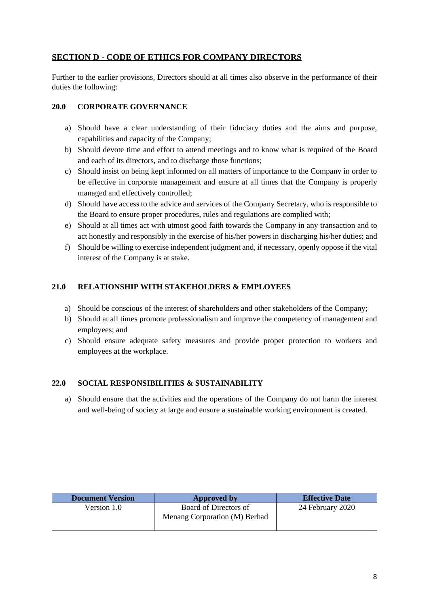# **SECTION D - CODE OF ETHICS FOR COMPANY DIRECTORS**

Further to the earlier provisions, Directors should at all times also observe in the performance of their duties the following:

# **20.0 CORPORATE GOVERNANCE**

- a) Should have a clear understanding of their fiduciary duties and the aims and purpose, capabilities and capacity of the Company;
- b) Should devote time and effort to attend meetings and to know what is required of the Board and each of its directors, and to discharge those functions;
- c) Should insist on being kept informed on all matters of importance to the Company in order to be effective in corporate management and ensure at all times that the Company is properly managed and effectively controlled;
- d) Should have access to the advice and services of the Company Secretary, who is responsible to the Board to ensure proper procedures, rules and regulations are complied with;
- e) Should at all times act with utmost good faith towards the Company in any transaction and to act honestly and responsibly in the exercise of his/her powers in discharging his/her duties; and
- f) Should be willing to exercise independent judgment and, if necessary, openly oppose if the vital interest of the Company is at stake.

# **21.0 RELATIONSHIP WITH STAKEHOLDERS & EMPLOYEES**

- a) Should be conscious of the interest of shareholders and other stakeholders of the Company;
- b) Should at all times promote professionalism and improve the competency of management and employees; and
- c) Should ensure adequate safety measures and provide proper protection to workers and employees at the workplace.

#### **22.0 SOCIAL RESPONSIBILITIES & SUSTAINABILITY**

a) Should ensure that the activities and the operations of the Company do not harm the interest and well-being of society at large and ensure a sustainable working environment is created.

| <b>Document Version</b> | Approved by                                            | <b>Effective Date</b> |
|-------------------------|--------------------------------------------------------|-----------------------|
| Version 1.0             | Board of Directors of<br>Menang Corporation (M) Berhad | 24 February 2020      |